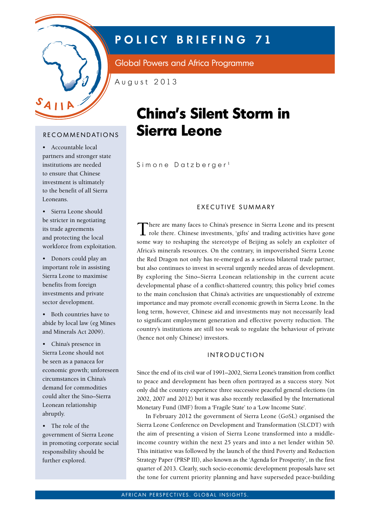

# **POLICY BRIEFING 71**

Global Powers and Africa Programme

August 2013

# R E COMMENDATIONS

• Accountable local partners and stronger state institutions are needed to ensure that Chinese investment is ultimately to the benefit of all Sierra Leoneans.

• Sierra Leone should be stricter in negotiating its trade agreements and protecting the local workforce from exploitation.

• Donors could play an important role in assisting Sierra Leone to maximise benefits from foreign investments and private sector development.

• Both countries have to abide by local law (eg Mines and Minerals Act 2009).

• China's presence in Sierra Leone should not be seen as a panacea for economic growth; unforeseen circumstances in China's demand for commodities could alter the Sino–Sierra Leonean relationship abruptly.

• The role of the government of Sierra Leone in promoting corporate social responsibility should be further explored.

# **China's Silent Storm in Sierra Leone**

Simone Datzberger<sup>1</sup>

# EXECUTIVE SUMMARY

There are many faces to China's presence in Sierra Leone and its present role there. Chinese investments, 'gifts' and trading activities have gone some way to reshaping the stereotype of Beijing as solely an exploiter of Africa's minerals resources. On the contrary, in impoverished Sierra Leone the Red Dragon not only has re-emerged as a serious bilateral trade partner, but also continues to invest in several urgently needed areas of development. By exploring the Sino–Sierra Leonean relationship in the current acute developmental phase of a conflict-shattered country, this policy brief comes to the main conclusion that China's activities are unquestionably of extreme importance and may promote overall economic growth in Sierra Leone. In the long term, however, Chinese aid and investments may not necessarily lead to significant employment generation and effective poverty reduction. The country's institutions are still too weak to regulate the behaviour of private (hence not only Chinese) investors.

### **INTRODUCTION**

Since the end of its civil war of 1991–2002, Sierra Leone's transition from conflict to peace and development has been often portrayed as a success story. Not only did the country experience three successive peaceful general elections (in 2002, 2007 and 2012) but it was also recently reclassified by the International Monetary Fund (IMF) from a 'Fragile State' to a 'Low Income State'.

In February 2012 the government of Sierra Leone (GoSL) organised the Sierra Leone Conference on Development and Transformation (SLCDT) with the aim of presenting a vision of Sierra Leone transformed into a middleincome country within the next 25 years and into a net lender within 50. This initiative was followed by the launch of the third Poverty and Reduction Strategy Paper (PRSP III), also known as the 'Agenda for Prosperity', in the first quarter of 2013. Clearly, such socio-economic development proposals have set the tone for current priority planning and have superseded peace-building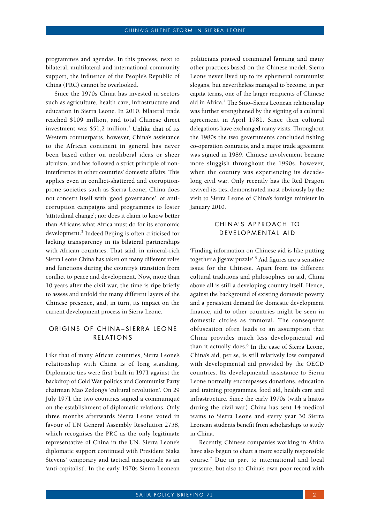programmes and agendas. In this process, next to bilateral, multilateral and international community support, the influence of the People's Republic of China (PRC) cannot be overlooked.

Since the 1970s China has invested in sectors such as agriculture, health care, infrastructure and education in Sierra Leone. In 2010, bilateral trade reached \$109 million, and total Chinese direct investment was \$51,2 million.<sup>2</sup> Unlike that of its Western counterparts, however, China's assistance to the African continent in general has never been based either on neoliberal ideas or sheer altruism, and has followed a strict principle of noninterference in other countries' domestic affairs. This applies even in conflict-shattered and corruptionprone societies such as Sierra Leone; China does not concern itself with 'good governance', or anticorruption campaigns and programmes to foster 'attitudinal change'; nor does it claim to know better than Africans what Africa must do for its economic development.<sup>3</sup> Indeed Beijing is often criticised for lacking transparency in its bilateral partnerships with African countries. That said, in mineral-rich Sierra Leone China has taken on many different roles and functions during the country's transition from conflict to peace and development. Now, more than 10 years after the civil war, the time is ripe briefly to assess and unfold the many different layers of the Chinese presence, and, in turn, its impact on the current development process in Sierra Leone.

#### ORIGINS OF CHINA-SIERRA LEONE RELATIONS

Like that of many African countries, Sierra Leone's relationship with China is of long standing. Diplomatic ties were first built in 1971 against the backdrop of Cold War politics and Communist Party chairman Mao Zedong's 'cultural revolution'. On 29 July 1971 the two countries signed a communiqué on the establishment of diplomatic relations. Only three months afterwards Sierra Leone voted in favour of UN General Assembly Resolution 2758, which recognises the PRC as the only legitimate representative of China in the UN. Sierra Leone's diplomatic support continued with President Siaka Stevens' temporary and tactical masquerade as an 'anti-capitalist'. In the early 1970s Sierra Leonean politicians praised communal farming and many other practices based on the Chinese model. Sierra Leone never lived up to its ephemeral communist slogans, but nevertheless managed to become, in per capita terms, one of the larger recipients of Chinese aid in Africa.<sup>4</sup> The Sino-Sierra Leonean relationship was further strengthened by the signing of a cultural agreement in April 1981. Since then cultural delegations have exchanged many visits. Throughout the 1980s the two governments concluded fishing co-operation contracts, and a major trade agreement was signed in 1989. Chinese involvement became more sluggish throughout the 1990s, however, when the country was experiencing its decadelong civil war. Only recently has the Red Dragon revived its ties, demonstrated most obviously by the visit to Sierra Leone of China's foreign minister in January 2010.

#### CHINA'S APPROACH TO DEVELOPMENTAL AID

'Finding information on Chinese aid is like putting together a jigsaw puzzle'.<sup>5</sup> Aid figures are a sensitive issue for the Chinese. Apart from its different cultural traditions and philosophies on aid, China above all is still a developing country itself. Hence, against the background of existing domestic poverty and a persistent demand for domestic development finance, aid to other countries might be seen in domestic circles as immoral. The consequent obfuscation often leads to an assumption that China provides much less developmental aid than it actually does.<sup>6</sup> In the case of Sierra Leone, China's aid, per se, is still relatively low compared with developmental aid provided by the OECD countries. Its developmental assistance to Sierra Leone normally encompasses donations, education and training programmes, food aid, health care and infrastructure. Since the early 1970s (with a hiatus during the civil war) China has sent 14 medical teams to Sierra Leone and every year 30 Sierra Leonean students benefit from scholarships to study in China.

Recently, Chinese companies working in Africa have also begun to chart a more socially responsible course.7 Due in part to international and local pressure, but also to China's own poor record with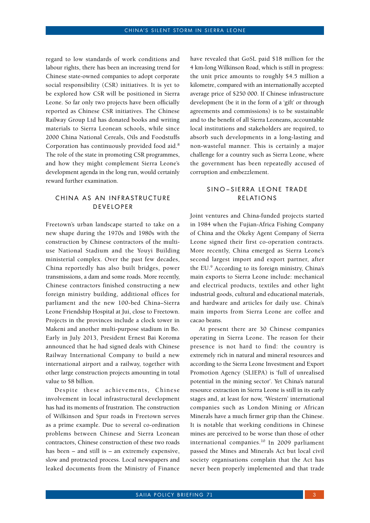regard to low standards of work conditions and labour rights, there has been an increasing trend for Chinese state-owned companies to adopt corporate social responsibility (CSR) initiatives. It is yet to be explored how CSR will be positioned in Sierra Leone. So far only two projects have been officially reported as Chinese CSR initiatives. The Chinese Railway Group Ltd has donated books and writing materials to Sierra Leonean schools, while since 2000 China National Cereals, Oils and Foodstuffs Corporation has continuously provided food aid.8 The role of the state in promoting CSR programmes, and how they might complement Sierra Leone's development agenda in the long run, would certainly reward further examination.

#### CHINA AS AN INFRASTRUCTURE **DEVELOPER**

Freetown's urban landscape started to take on a new shape during the 1970s and 1980s with the construction by Chinese contractors of the multiuse National Stadium and the Youyi Building ministerial complex. Over the past few decades, China reportedly has also built bridges, power transmissions, a dam and some roads. More recently, Chinese contractors finished constructing a new foreign ministry building, additional offices for parliament and the new 100-bed China–Sierra Leone Friendship Hospital at Jui, close to Freetown. Projects in the provinces include a clock tower in Makeni and another multi-purpose stadium in Bo. Early in July 2013, President Ernest Bai Koroma announced that he had signed deals with Chinese Railway International Company to build a new international airport and a railway, together with other large construction projects amounting in total value to \$8 billion.

Despite these achievements, Chinese involvement in local infrastructural development has had its moments of frustration. The construction of Wilkinson and Spur roads in Freetown serves as a prime example. Due to several co-ordination problems between Chinese and Sierra Leonean contractors, Chinese construction of these two roads has been – and still is – an extremely expensive, slow and protracted process. Local newspapers and leaked documents from the Ministry of Finance

have revealed that GoSL paid \$18 million for the 4 km-long Wilkinson Road, which is still in progress: the unit price amounts to roughly \$4.5 million a kilometre, compared with an internationally accepted average price of \$250 000. If Chinese infrastructure development (be it in the form of a 'gift' or through agreements and commissions) is to be sustainable and to the benefit of all Sierra Leoneans, accountable local institutions and stakeholders are required, to absorb such developments in a long-lasting and non-wasteful manner. This is certainly a major challenge for a country such as Sierra Leone, where the government has been repeatedly accused of corruption and embezzlement.

#### SINO-SIERRA LEONE TRADE REL ATIONS

Joint ventures and China-funded projects started in 1984 when the Fujian-Africa Fishing Company of China and the Okeky Agent Company of Sierra Leone signed their first co-operation contracts. More recently, China emerged as Sierra Leone's second largest import and export partner, after the EU.<sup>9</sup> According to its foreign ministry, China's main exports to Sierra Leone include: mechanical and electrical products, textiles and other light industrial goods, cultural and educational materials, and hardware and articles for daily use. China's main imports from Sierra Leone are coffee and cacao beans.

At present there are 30 Chinese companies operating in Sierra Leone. The reason for their presence is not hard to find: the country is extremely rich in natural and mineral resources and according to the Sierra Leone Investment and Export Promotion Agency (SLIEPA) is 'full of unrealised potential in the mining sector'. Yet China's natural resource extraction in Sierra Leone is still in its early stages and, at least for now, 'Western' international companies such as London Mining or African Minerals have a much firmer grip than the Chinese. It is notable that working conditions in Chinese mines are perceived to be worse than those of other international companies.10 In 2009 parliament passed the Mines and Minerals Act but local civil society organisations complain that the Act has never been properly implemented and that trade